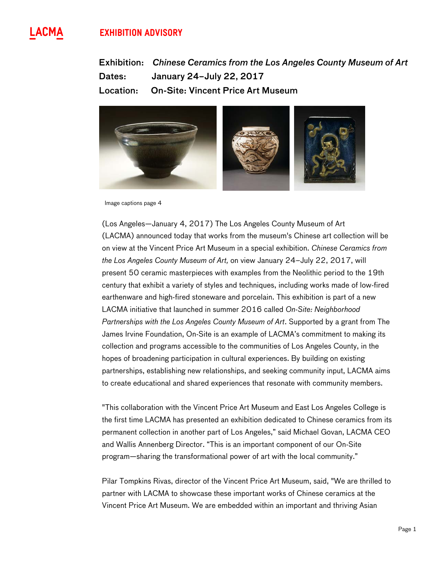# **EXHIBITION ADVISORY**





Image captions page 4

(Los Angeles—January 4, 2017) The Los Angeles County Museum of Art (LACMA) announced today that works from the museum's Chinese art collection will be on view at the Vincent Price Art Museum in a special exhibition. *Chinese Ceramics from the Los Angeles County Museum of Art,* on view January 24–July 22, 2017, will present 50 ceramic masterpieces with examples from the Neolithic period to the 19th century that exhibit a variety of styles and techniques, including works made of low-fired earthenware and high-fired stoneware and porcelain. This exhibition is part of a new LACMA initiative that launched in summer 2016 called *On-Site: Neighborhood Partnerships with the Los Angeles County Museum of Art*. Supported by a grant from The James Irvine Foundation, On-Site is an example of LACMA's commitment to making its collection and programs accessible to the communities of Los Angeles County, in the hopes of broadening participation in cultural experiences. By building on existing partnerships, establishing new relationships, and seeking community input, LACMA aims to create educational and shared experiences that resonate with community members.

"This collaboration with the Vincent Price Art Museum and East Los Angeles College is the first time LACMA has presented an exhibition dedicated to Chinese ceramics from its permanent collection in another part of Los Angeles," said Michael Govan, LACMA CEO and Wallis Annenberg Director. "This is an important component of our On-Site program—sharing the transformational power of art with the local community."

Pilar Tompkins Rivas, director of the Vincent Price Art Museum, said, "We are thrilled to partner with LACMA to showcase these important works of Chinese ceramics at the Vincent Price Art Museum. We are embedded within an important and thriving Asian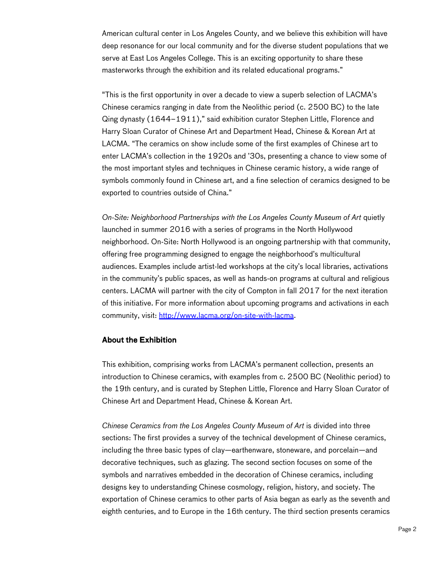American cultural center in Los Angeles County, and we believe this exhibition will have deep resonance for our local community and for the diverse student populations that we serve at East Los Angeles College. This is an exciting opportunity to share these masterworks through the exhibition and its related educational programs."

"This is the first opportunity in over a decade to view a superb selection of LACMA's Chinese ceramics ranging in date from the Neolithic period (c. 2500 BC) to the late Qing dynasty (1644–1911)," said exhibition curator Stephen Little, Florence and Harry Sloan Curator of Chinese Art and Department Head, Chinese & Korean Art at LACMA. "The ceramics on show include some of the first examples of Chinese art to enter LACMA's collection in the 1920s and '30s, presenting a chance to view some of the most important styles and techniques in Chinese ceramic history, a wide range of symbols commonly found in Chinese art, and a fine selection of ceramics designed to be exported to countries outside of China."

*On-Site: Neighborhood Partnerships with the Los Angeles County Museum of Art* quietly launched in summer 2016 with a series of programs in the North Hollywood neighborhood. On-Site: North Hollywood is an ongoing partnership with that community, offering free programming designed to engage the neighborhood's multicultural audiences. Examples include artist-led workshops at the city's local libraries, activations in the community's public spaces, as well as hands-on programs at cultural and religious centers. LACMA will partner with the city of Compton in fall 2017 for the next iteration of this initiative. For more information about upcoming programs and activations in each community, visit: http://www.lacma.org/on-site-with-lacma.

### About the Exhibition

This exhibition, comprising works from LACMA's permanent collection, presents an introduction to Chinese ceramics, with examples from c. 2500 BC (Neolithic period) to the 19th century, and is curated by Stephen Little, Florence and Harry Sloan Curator of Chinese Art and Department Head, Chinese & Korean Art.

*Chinese Ceramics from the Los Angeles County Museum of Art* is divided into three sections: The first provides a survey of the technical development of Chinese ceramics, including the three basic types of clay—earthenware, stoneware, and porcelain—and decorative techniques, such as glazing. The second section focuses on some of the symbols and narratives embedded in the decoration of Chinese ceramics, including designs key to understanding Chinese cosmology, religion, history, and society. The exportation of Chinese ceramics to other parts of Asia began as early as the seventh and eighth centuries, and to Europe in the 16th century. The third section presents ceramics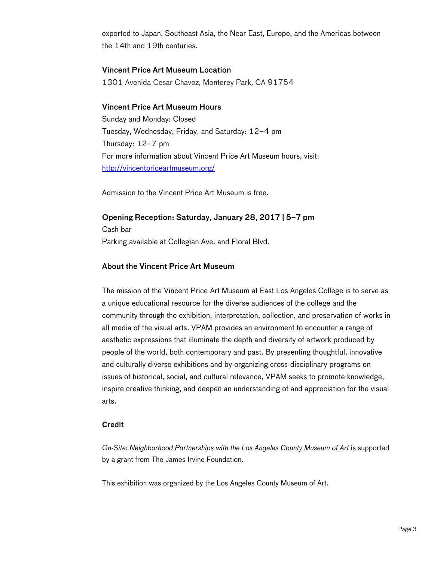exported to Japan, Southeast Asia, the Near East, Europe, and the Americas between the 14th and 19th centuries.

### Vincent Price Art Museum Location

1301 Avenida Cesar Chavez, Monterey Park, CA 91754

## Vincent Price Art Museum Hours

Sunday and Monday: Closed Tuesday, Wednesday, Friday, and Saturday: 12–4 pm Thursday: 12–7 pm For more information about Vincent Price Art Museum hours, visit: http://vincentpriceartmuseum.org/

Admission to the Vincent Price Art Museum is free.

### Opening Reception: Saturday, January 28, 2017 | 5–7 pm

Cash bar Parking available at Collegian Ave. and Floral Blvd.

# About the Vincent Price Art Museum

The mission of the Vincent Price Art Museum at East Los Angeles College is to serve as a unique educational resource for the diverse audiences of the college and the community through the exhibition, interpretation, collection, and preservation of works in all media of the visual arts. VPAM provides an environment to encounter a range of aesthetic expressions that illuminate the depth and diversity of artwork produced by people of the world, both contemporary and past. By presenting thoughtful, innovative and culturally diverse exhibitions and by organizing cross-disciplinary programs on issues of historical, social, and cultural relevance, VPAM seeks to promote knowledge, inspire creative thinking, and deepen an understanding of and appreciation for the visual arts.

#### **Credit**

*On-Site: Neighborhood Partnerships with the Los Angeles County Museum of Art* is supported by a grant from The James Irvine Foundation.

This exhibition was organized by the Los Angeles County Museum of Art.